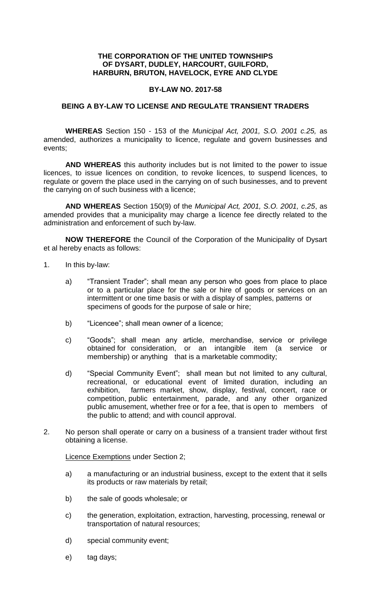## **THE CORPORATION OF THE UNITED TOWNSHIPS OF DYSART, DUDLEY, HARCOURT, GUILFORD, HARBURN, BRUTON, HAVELOCK, EYRE AND CLYDE**

## **BY-LAW NO. 2017-58**

## **BEING A BY-LAW TO LICENSE AND REGULATE TRANSIENT TRADERS**

**WHEREAS** Section 150 - 153 of the *Municipal Act, 2001, S.O. 2001 c.25,* as amended, authorizes a municipality to licence, regulate and govern businesses and events;

**AND WHEREAS** this authority includes but is not limited to the power to issue licences, to issue licences on condition, to revoke licences, to suspend licences, to regulate or govern the place used in the carrying on of such businesses, and to prevent the carrying on of such business with a licence;

**AND WHEREAS** Section 150(9) of the *Municipal Act, 2001, S.O. 2001, c.25*, as amended provides that a municipality may charge a licence fee directly related to the administration and enforcement of such by-law.

**NOW THEREFORE** the Council of the Corporation of the Municipality of Dysart et al hereby enacts as follows:

- 1. In this by-law:
	- a) "Transient Trader"; shall mean any person who goes from place to place or to a particular place for the sale or hire of goods or services on an intermittent or one time basis or with a display of samples, patterns or specimens of goods for the purpose of sale or hire;
	- b) "Licencee"; shall mean owner of a licence;
	- c) "Goods"; shall mean any article, merchandise, service or privilege obtained for consideration, or an intangible item (a service or membership) or anything that is a marketable commodity;
	- d) "Special Community Event"; shall mean but not limited to any cultural, recreational, or educational event of limited duration, including an exhibition, farmers market, show, display, festival, concert, race or competition, public entertainment, parade, and any other organized public amusement, whether free or for a fee, that is open to members of the public to attend; and with council approval.
- 2. No person shall operate or carry on a business of a transient trader without first obtaining a license.

Licence Exemptions under Section 2;

- a) a manufacturing or an industrial business, except to the extent that it sells its products or raw materials by retail;
- b) the sale of goods wholesale; or
- c) the generation, exploitation, extraction, harvesting, processing, renewal or transportation of natural resources;
- d) special community event;
- e) tag days;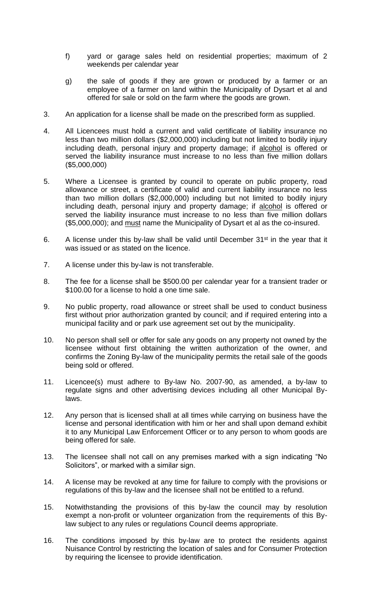- f) yard or garage sales held on residential properties; maximum of 2 weekends per calendar year
- g) the sale of goods if they are grown or produced by a farmer or an employee of a farmer on land within the Municipality of Dysart et al and offered for sale or sold on the farm where the goods are grown.
- 3. An application for a license shall be made on the prescribed form as supplied.
- 4. All Licencees must hold a current and valid certificate of liability insurance no less than two million dollars (\$2,000,000) including but not limited to bodily injury including death, personal injury and property damage; if alcohol is offered or served the liability insurance must increase to no less than five million dollars (\$5,000,000)
- 5. Where a Licensee is granted by council to operate on public property, road allowance or street, a certificate of valid and current liability insurance no less than two million dollars (\$2,000,000) including but not limited to bodily injury including death, personal injury and property damage; if alcohol is offered or served the liability insurance must increase to no less than five million dollars (\$5,000,000); and must name the Municipality of Dysart et al as the co-insured.
- 6. A license under this by-law shall be valid until December  $31<sup>st</sup>$  in the year that it was issued or as stated on the licence.
- 7. A license under this by-law is not transferable.
- 8. The fee for a license shall be \$500.00 per calendar year for a transient trader or \$100.00 for a license to hold a one time sale.
- 9. No public property, road allowance or street shall be used to conduct business first without prior authorization granted by council; and if required entering into a municipal facility and or park use agreement set out by the municipality.
- 10. No person shall sell or offer for sale any goods on any property not owned by the licensee without first obtaining the written authorization of the owner, and confirms the Zoning By-law of the municipality permits the retail sale of the goods being sold or offered.
- 11. Licencee(s) must adhere to By-law No. 2007-90, as amended, a by-law to regulate signs and other advertising devices including all other Municipal Bylaws.
- 12. Any person that is licensed shall at all times while carrying on business have the license and personal identification with him or her and shall upon demand exhibit it to any Municipal Law Enforcement Officer or to any person to whom goods are being offered for sale.
- 13. The licensee shall not call on any premises marked with a sign indicating "No Solicitors", or marked with a similar sign.
- 14. A license may be revoked at any time for failure to comply with the provisions or regulations of this by-law and the licensee shall not be entitled to a refund.
- 15. Notwithstanding the provisions of this by-law the council may by resolution exempt a non-profit or volunteer organization from the requirements of this Bylaw subject to any rules or regulations Council deems appropriate.
- 16. The conditions imposed by this by-law are to protect the residents against Nuisance Control by restricting the location of sales and for Consumer Protection by requiring the licensee to provide identification.